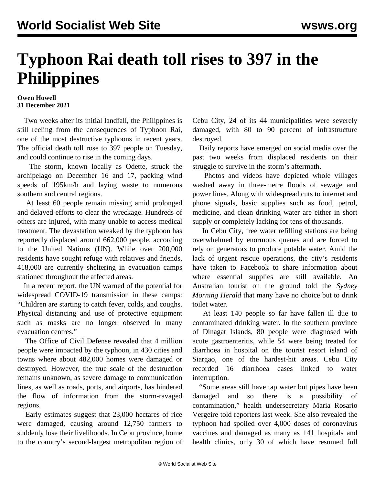## **Typhoon Rai death toll rises to 397 in the Philippines**

## **Owen Howell 31 December 2021**

 Two weeks after its initial landfall, the Philippines is still reeling from the consequences of Typhoon Rai, one of the most destructive typhoons in recent years. The official death toll rose to 397 people on Tuesday, and could continue to rise in the coming days.

 The storm, known locally as Odette, struck the archipelago on December 16 and 17, packing wind speeds of 195km/h and laying waste to numerous southern and central regions.

 At least 60 people remain missing amid prolonged and delayed efforts to clear the wreckage. Hundreds of others are injured, with many unable to access medical treatment. The devastation wreaked by the typhoon has reportedly displaced around 662,000 people, according to the United Nations (UN). While over 200,000 residents have sought refuge with relatives and friends, 418,000 are currently sheltering in evacuation camps stationed throughout the affected areas.

 In a recent report, the UN warned of the potential for widespread COVID-19 transmission in these camps: "Children are starting to catch fever, colds, and coughs. Physical distancing and use of protective equipment such as masks are no longer observed in many evacuation centres."

 The Office of Civil Defense revealed that 4 million people were impacted by the typhoon, in 430 cities and towns where about 482,000 homes were damaged or destroyed. However, the true scale of the destruction remains unknown, as severe damage to communication lines, as well as roads, ports, and airports, has hindered the flow of information from the storm-ravaged regions.

 Early estimates suggest that 23,000 hectares of rice were damaged, causing around 12,750 farmers to suddenly lose their livelihoods. In Cebu province, home to the country's second-largest metropolitan region of Cebu City, 24 of its 44 municipalities were severely damaged, with 80 to 90 percent of infrastructure destroyed.

 Daily reports have emerged on social media over the past two weeks from displaced residents on their struggle to survive in the storm's aftermath.

 Photos and videos have depicted whole villages washed away in three-metre floods of sewage and power lines. Along with widespread cuts to internet and phone signals, basic supplies such as food, petrol, medicine, and clean drinking water are either in short supply or completely lacking for tens of thousands.

 In Cebu City, free water refilling stations are being overwhelmed by enormous queues and are forced to rely on generators to produce potable water. Amid the lack of urgent rescue operations, the city's residents have taken to Facebook to share information about where essential supplies are still available. An Australian tourist on the ground told the *Sydney Morning Herald* that many have no choice but to drink toilet water.

 At least 140 people so far have fallen ill due to contaminated drinking water. In the southern province of Dinagat Islands, 80 people were diagnosed with acute gastroenteritis, while 54 were being treated for diarrhoea in hospital on the tourist resort island of Siargao, one of the hardest-hit areas. Cebu City recorded 16 diarrhoea cases linked to water interruption.

 "Some areas still have tap water but pipes have been damaged and so there is a possibility contamination," health undersecretary Maria Rosario Vergeire told reporters last week. She also revealed the typhoon had spoiled over 4,000 doses of coronavirus vaccines and damaged as many as 141 hospitals and health clinics, only 30 of which have resumed full